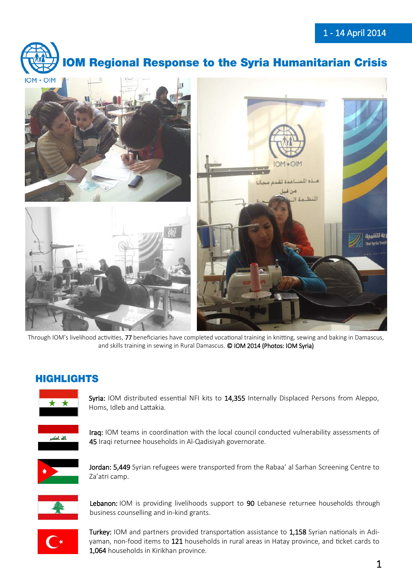

# **10M Regional Response to the Syria Humanitarian Crisis**



Through IOM's livelihood activities, 77 beneficiaries have completed vocational training in knitting, sewing and baking in Damascus, and skills training in sewing in Rural Damascus. © IOM 2014 (Photos: IOM Syria)

# **HIGHLIGHTS**



Syria: IOM distributed essential NFI kits to 14,355 Internally Displaced Persons from Aleppo, Homs, Idleb and Lattakia.



Iraq: IOM teams in coordination with the local council conducted vulnerability assessments of 45 Iraqi returnee households in Al-Qadisiyah governorate.



Jordan: 5,449 Syrian refugees were transported from the Rabaa' al Sarhan Screening Centre to Za'atri camp.



Lebanon: IOM is providing livelihoods support to 90 Lebanese returnee households through business counselling and in-kind grants.



Turkey: IOM and partners provided transportation assistance to 1,158 Syrian nationals in Adiyaman, non-food items to 121 households in rural areas in Hatay province, and ticket cards to 1,064 households in Kirikhan province.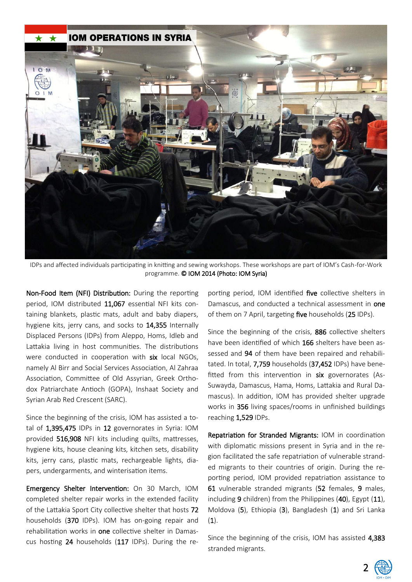

IDPs and affected individuals participating in knitting and sewing workshops. These workshops are part of IOM's Cash-for-Work programme. © IOM 2014 (Photo: IOM Syria)

Non-Food Item (NFI) Distribution: During the reporting period, IOM distributed 11,067 essential NFI kits containing blankets, plastic mats, adult and baby diapers, hygiene kits, jerry cans, and socks to 14,355 Internally Displaced Persons (IDPs) from Aleppo, Homs, Idleb and Lattakia living in host communities. The distributions were conducted in cooperation with six local NGOs. namely Al Birr and Social Services Association, Al Zahraa Association, Committee of Old Assyrian, Greek Orthodox Patriarchate Antioch (GOPA), Inshaat Society and Syrian Arab Red Crescent (SARC).

Since the beginning of the crisis, IOM has assisted a total of 1,395,475 IDPs in 12 governorates in Syria: IOM provided 516,908 NFI kits including quilts, mattresses, hygiene kits, house cleaning kits, kitchen sets, disability kits, jerry cans, plastic mats, rechargeable lights, diapers, undergarments, and winterisation items.

Emergency Shelter Intervention: On 30 March, IOM completed shelter repair works in the extended facility of the Lattakia Sport City collective shelter that hosts 72 households (370 IDPs). IOM has on-going repair and rehabilitation works in one collective shelter in Damascus hosting 24 households (117 IDPs). During the reporting period, IOM identified five collective shelters in Damascus, and conducted a technical assessment in **one** of them on 7 April, targeting five households (25 IDPs).

Since the beginning of the crisis, 886 collective shelters have been identified of which 166 shelters have been assessed and 94 of them have been repaired and rehabilitated. In total, 7,759 households (37,452 IDPs) have benefitted from this intervention in six governorates (As-Suwayda, Damascus, Hama, Homs, Lattakia and Rural Damascus). In addition, IOM has provided shelter upgrade works in 356 living spaces/rooms in unfinished buildings reaching 1,529 IDPs.

Repatriation for Stranded Migrants: IOM in coordination with diplomatic missions present in Syria and in the region facilitated the safe repatriation of vulnerable stranded migrants to their countries of origin. During the reporting period, IOM provided repatriation assistance to 61 vulnerable stranded migrants (52 females, 9 males, including 9 children) from the Philippines (40), Egypt (11), Moldova (5), Ethiopia (3), Bangladesh (1) and Sri Lanka  $(1).$ 

Since the beginning of the crisis, IOM has assisted 4,383 stranded migrants.

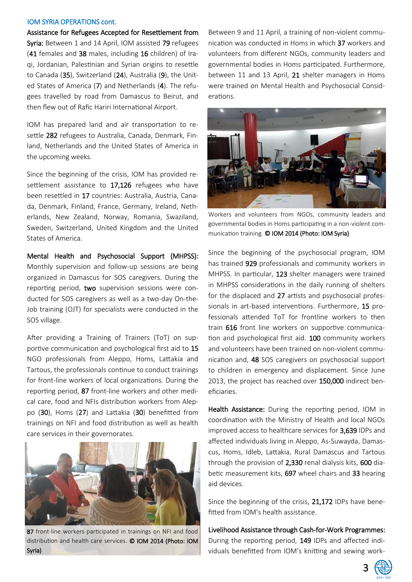#### IOM SYRIA OPERATIONS cont.

Assistance for Refugees Accepted for Resettlement from Syria: Between 1 and 14 April, IOM assisted 79 refugees (41 females and 38 males, including 16 children) of Iraqi, Jordanian, Palestinian and Syrian origins to resettle to Canada (35), Switzerland (24), Australia (9), the United States of America (7) and Netherlands (4). The refugees travelled by road from Damascus to Beirut, and then flew out of Rafic Hariri International Airport.

IOM has prepared land and air transportation to resettle 282 refugees to Australia, Canada, Denmark, Finland, Netherlands and the United States of America in the upcoming weeks.

Since the beginning of the crisis, IOM has provided resettlement assistance to 17,126 refugees who have been resettled in 17 countries: Australia, Austria, Canada, Denmark, Finland, France, Germany, Ireland, Netherlands, New Zealand, Norway, Romania, Swaziland, Sweden, Switzerland, United Kingdom and the United States of America.

Mental Health and Psychosocial Support (MHPSS): Monthly supervision and follow-up sessions are being organized in Damascus for SOS caregivers. During the reporting period, two supervision sessions were conducted for SOS caregivers as well as a two-day On-the-Job training (OJT) for specialists were conducted in the SOS village.

After providing a Training of Trainers (ToT) on supportive communication and psychological first aid to 15 NGO professionals from Aleppo, Homs, Lattakia and Tartous, the professionals continue to conduct trainings for front-line workers of local organizations. During the reporting period, 87 front-line workers and other medical care, food and NFIs distribution workers from Aleppo (30), Homs (27) and Lattakia (30) benefitted from trainings on NFI and food distribution as well as health care services in their governorates.



87 front-line workers participated in trainings on NFI and food distribution and health care services. © IOM 2014 (Photo: IOM Syria)

Between 9 and 11 April, a training of non-violent communication was conducted in Homs in which 37 workers and volunteers from different NGOs, community leaders and governmental bodies in Homs participated. Furthermore, between 11 and 13 April, 21 shelter managers in Homs were trained on Mental Health and Psychosocial Considerations.



Workers and volunteers from NGOs, community leaders and governmental bodies in Homs participating in a non-violent communication training. © IOM 2014 (Photo: IOM Syria)

Since the beginning of the psychosocial program, IOM has trained 929 professionals and community workers in MHPSS. In particular, 123 shelter managers were trained in MHPSS considerations in the daily running of shelters for the displaced and 27 artists and psychosocial professionals in art-based interventions. Furthermore, 15 professionals attended ToT for frontline workers to then train 616 front line workers on supportive communication and psychological first aid. 100 community workers and volunteers have been trained on non-violent communication and, 48 SOS caregivers on psychosocial support to children in emergency and displacement. Since June 2013, the project has reached over 150,000 indirect beneficiaries.

Health Assistance: During the reporting period, IOM in coordination with the Ministry of Health and local NGOs improved access to healthcare services for 3,639 IDPs and affected individuals living in Aleppo, As-Suwayda, Damascus, Homs, Idleb, Lattakia, Rural Damascus and Tartous through the provision of 2,330 renal dialysis kits, 600 diabetic measurement kits, 697 wheel chairs and 33 hearing aid devices.

Since the beginning of the crisis, 21,172 IDPs have benefitted from IOM's health assistance.

Livelihood Assistance through Cash-for-Work Programmes: During the reporting period, 149 IDPs and affected individuals benefitted from IOM's knitting and sewing work-

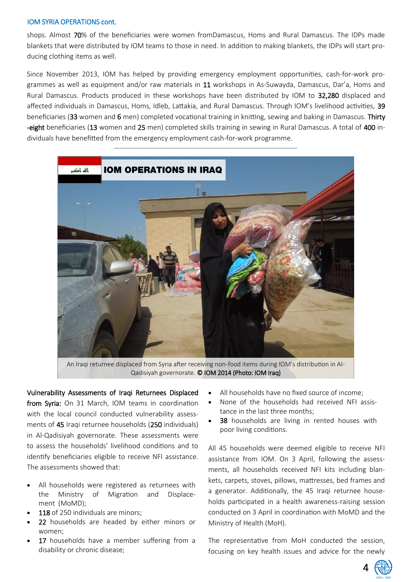#### IOM SYRIA OPERATIONS cont.

shops. Almost 70% of the beneficiaries were women fromDamascus, Homs and Rural Damascus. The IDPs made blankets that were distributed by IOM teams to those in need. In addition to making blankets, the IDPs will start producing clothing items as well.

Since November 2013, IOM has helped by providing emergency employment opportunities, cash-for-work programmes as well as equipment and/or raw materials in 11 workshops in As-Suwayda, Damascus, Dar'a, Homs and Rural Damascus. Products produced in these workshops have been distributed by IOM to 32,280 displaced and affected individuals in Damascus, Homs, Idleb, Lattakia, and Rural Damascus. Through IOM's livelihood activities, 39 beneficiaries (33 women and 6 men) completed vocational training in knitting, sewing and baking in Damascus. Thirty -eight beneficiaries (13 women and 25 men) completed skills training in sewing in Rural Damascus. A total of 400 individuals have benefitted from the emergency employment cash-for-work programme.



An Iraqi returnee displaced from Syria after receiving non-food items during IOM's distribution in Al-Qadisiyah governorate. © IOM 2014 (Photo: IOM Iraq)

Vulnerability Assessments of Iraqi Returnees Displaced from Syria: On 31 March, IOM teams in coordination with the local council conducted vulnerability assessments of 45 Iraqi returnee households (250 individuals) in Al-Qadisiyah governorate. These assessments were to assess the households' livelihood conditions and to identify beneficiaries eligible to receive NFI assistance. The assessments showed that:

- All households were registered as returnees with the Ministry of Migration and Displacement (MoMD);
- **118** of 250 individuals are minors;
- 22 households are headed by either minors or women;
- 17 households have a member suffering from a disability or chronic disease;
- All households have no fixed source of income;
- None of the households had received NFI assistance in the last three months;
- 38 households are living in rented houses with poor living conditions.

All 45 households were deemed eligible to receive NFI assistance from IOM. On 3 April, following the assessments, all households received NFI kits including blankets, carpets, stoves, pillows, mattresses, bed frames and a generator. Additionally, the 45 Iraqi returnee households participated in a health awareness-raising session conducted on 3 April in coordination with MoMD and the Ministry of Health (MoH).

The representative from MoH conducted the session, focusing on key health issues and advice for the newly

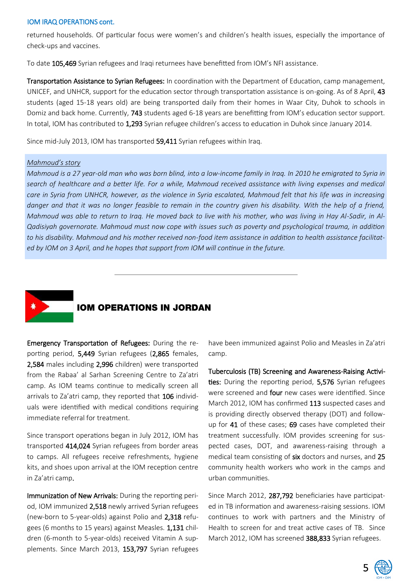#### IOM IRAQ OPERATIONS cont.

returned households. Of particular focus were women's and children's health issues, especially the importance of check-ups and vaccines.

To date 105,469 Syrian refugees and Iraqi returnees have benefitted from IOM's NFI assistance.

Transportation Assistance to Syrian Refugees: In coordination with the Department of Education, camp management, UNICEF, and UNHCR, support for the education sector through transportation assistance is on-going. As of 8 April, 43 students (aged 15-18 years old) are being transported daily from their homes in Waar City, Duhok to schools in Domiz and back home. Currently, 743 students aged 6-18 years are benefitting from IOM's education sector support. In total, IOM has contributed to 1,293 Syrian refugee children's access to education in Duhok since January 2014.

Since mid-July 2013, IOM has transported 59,411 Syrian refugees within Iraq.

#### *Mahmoud's story*

*Mahmoud is a 27 year-old man who was born blind, into a low-income family in Iraq. In 2010 he emigrated to Syria in search of healthcare and a better life. For a while, Mahmoud received assistance with living expenses and medical care in Syria from UNHCR, however, as the violence in Syria escalated, Mahmoud felt that his life was in increasing*  danger and that it was no longer feasible to remain in the country given his disability. With the help of a friend, *Mahmoud was able to return to Iraq. He moved back to live with his mother, who was living in Hay Al-Sadir, in Al-Qadisiyah governorate. Mahmoud must now cope with issues such as poverty and psychological trauma, in addition to his disability. Mahmoud and his mother received non-food item assistance in addition to health assistance facilitated by IOM on 3 April, and he hopes that support from IOM will continue in the future.*



### **IOM OPERATIONS IN JORDAN**

Emergency Transportation of Refugees: During the reporting period, 5,449 Syrian refugees (2,865 females, 2,584 males including 2,996 children) were transported from the Rabaa' al Sarhan Screening Centre to Za'atri camp. As IOM teams continue to medically screen all arrivals to Za'atri camp, they reported that 106 individuals were identified with medical conditions requiring immediate referral for treatment.

Since transport operations began in July 2012, IOM has transported 414,024 Syrian refugees from border areas to camps. All refugees receive refreshments, hygiene kits, and shoes upon arrival at the IOM reception centre in Za'atri camp.

Immunization of New Arrivals: During the reporting period, IOM immunized 2,518 newly arrived Syrian refugees (new-born to 5-year-olds) against Polio and 2,318 refugees (6 months to 15 years) against Measles. 1,131 children (6-month to 5-year-olds) received Vitamin A supplements. Since March 2013, 153,797 Syrian refugees

have been immunized against Polio and Measles in Za'atri camp.

Tuberculosis (TB) Screening and Awareness-Raising Activities: During the reporting period, 5,576 Syrian refugees were screened and four new cases were identified. Since March 2012, IOM has confirmed 113 suspected cases and is providing directly observed therapy (DOT) and followup for 41 of these cases; 69 cases have completed their treatment successfully. IOM provides screening for suspected cases, DOT, and awareness-raising through a medical team consisting of six doctors and nurses, and 25 community health workers who work in the camps and urban communities.

Since March 2012, 287,792 beneficiaries have participated in TB information and awareness-raising sessions. IOM continues to work with partners and the Ministry of Health to screen for and treat active cases of TB. Since March 2012, IOM has screened 388,833 Syrian refugees.

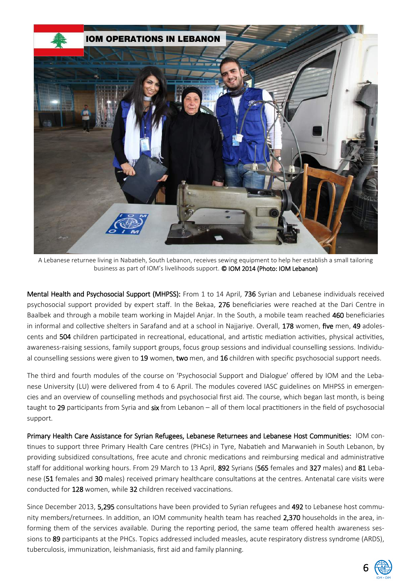

A Lebanese returnee living in Nabatieh, South Lebanon, receives sewing equipment to help her establish a small tailoring business as part of IOM's livelihoods support. © IOM 2014 (Photo: IOM Lebanon)

Mental Health and Psychosocial Support (MHPSS): From 1 to 14 April, 736 Syrian and Lebanese individuals received psychosocial support provided by expert staff. In the Bekaa, 276 beneficiaries were reached at the Dari Centre in Baalbek and through a mobile team working in Majdel Anjar. In the South, a mobile team reached 460 beneficiaries in informal and collective shelters in Sarafand and at a school in Najjariye. Overall, 178 women, five men, 49 adolescents and 504 children participated in recreational, educational, and artistic mediation activities, physical activities, awareness-raising sessions, family support groups, focus group sessions and individual counselling sessions. Individual counselling sessions were given to 19 women, two men, and 16 children with specific psychosocial support needs.

The third and fourth modules of the course on 'Psychosocial Support and Dialogue' offered by IOM and the Lebanese University (LU) were delivered from 4 to 6 April. The modules covered IASC guidelines on MHPSS in emergencies and an overview of counselling methods and psychosocial first aid. The course, which began last month, is being taught to 29 participants from Syria and six from Lebanon – all of them local practitioners in the field of psychosocial support.

Primary Health Care Assistance for Syrian Refugees, Lebanese Returnees and Lebanese Host Communities: IOM continues to support three Primary Health Care centres (PHCs) in Tyre, Nabatieh and Marwanieh in South Lebanon, by providing subsidized consultations, free acute and chronic medications and reimbursing medical and administrative staff for additional working hours. From 29 March to 13 April, 892 Syrians (565 females and 327 males) and 81 Lebanese (51 females and 30 males) received primary healthcare consultations at the centres. Antenatal care visits were conducted for 128 women, while 32 children received vaccinations.

Since December 2013, 5,295 consultations have been provided to Syrian refugees and 492 to Lebanese host community members/returnees. In addition, an IOM community health team has reached 2,370 households in the area, informing them of the services available. During the reporting period, the same team offered health awareness sessions to 89 participants at the PHCs. Topics addressed included measles, acute respiratory distress syndrome (ARDS), tuberculosis, immunization, leishmaniasis, first aid and family planning.

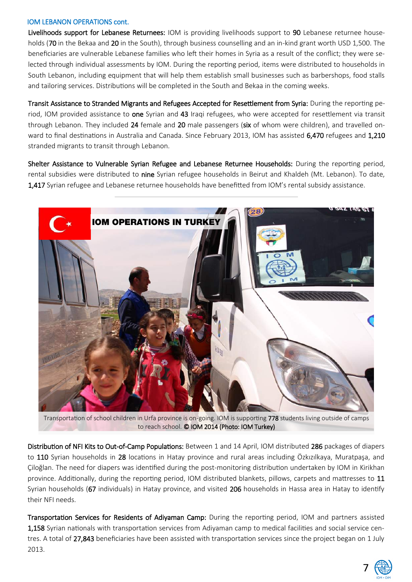#### IOM LEBANON OPERATIONS cont.

Livelihoods support for Lebanese Returnees: IOM is providing livelihoods support to 90 Lebanese returnee households (70 in the Bekaa and 20 in the South), through business counselling and an in-kind grant worth USD 1,500. The beneficiaries are vulnerable Lebanese families who left their homes in Syria as a result of the conflict; they were selected through individual assessments by IOM. During the reporting period, items were distributed to households in South Lebanon, including equipment that will help them establish small businesses such as barbershops, food stalls and tailoring services. Distributions will be completed in the South and Bekaa in the coming weeks.

Transit Assistance to Stranded Migrants and Refugees Accepted for Resettlement from Syria: During the reporting period, IOM provided assistance to one Syrian and 43 Iraqi refugees, who were accepted for resettlement via transit through Lebanon. They included 24 female and 20 male passengers (six of whom were children), and travelled onward to final destinations in Australia and Canada. Since February 2013, IOM has assisted 6,470 refugees and 1,210 stranded migrants to transit through Lebanon.

Shelter Assistance to Vulnerable Syrian Refugee and Lebanese Returnee Households: During the reporting period, rental subsidies were distributed to nine Syrian refugee households in Beirut and Khaldeh (Mt. Lebanon). To date, 1,417 Syrian refugee and Lebanese returnee households have benefitted from IOM's rental subsidy assistance.



Transportation of school children in Urfa province is on-going. IOM is supporting 778 students living outside of camps to reach school. © IOM 2014 (Photo: IOM Turkey)

Distribution of NFI Kits to Out-of-Camp Populations: Between 1 and 14 April, IOM distributed 286 packages of diapers to 110 Syrian households in 28 locations in Hatay province and rural areas including Özkızılkaya, Muratpaşa, and Çiloğlan. The need for diapers was identified during the post-monitoring distribution undertaken by IOM in Kirikhan province. Additionally, during the reporting period, IOM distributed blankets, pillows, carpets and mattresses to 11 Syrian households (67 individuals) in Hatay province, and visited 206 households in Hassa area in Hatay to identify their NFI needs.

Transportation Services for Residents of Adiyaman Camp: During the reporting period, IOM and partners assisted 1,158 Syrian nationals with transportation services from Adiyaman camp to medical facilities and social service centres. A total of 27,843 beneficiaries have been assisted with transportation services since the project began on 1 July 2013.